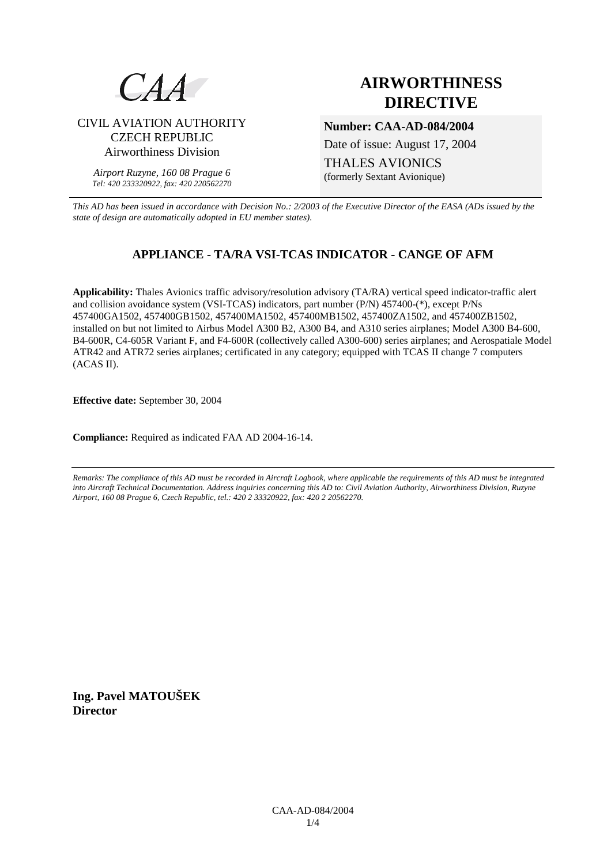

# **AIRWORTHINESS DIRECTIVE**

CIVIL AVIATION AUTHORITY CZECH REPUBLIC Airworthiness Division

> *Airport Ruzyne, 160 08 Prague 6 Tel: 420 233320922, fax: 420 220562270*

### **Number: CAA-AD-084/2004**

Date of issue: August 17, 2004

THALES AVIONICS (formerly Sextant Avionique)

*This AD has been issued in accordance with Decision No.: 2/2003 of the Executive Director of the EASA (ADs issued by the state of design are automatically adopted in EU member states).*

## **APPLIANCE - TA/RA VSI-TCAS INDICATOR - CANGE OF AFM**

**Applicability:** Thales Avionics traffic advisory/resolution advisory (TA/RA) vertical speed indicator-traffic alert and collision avoidance system (VSI-TCAS) indicators, part number (P/N) 457400-(\*), except P/Ns 457400GA1502, 457400GB1502, 457400MA1502, 457400MB1502, 457400ZA1502, and 457400ZB1502, installed on but not limited to Airbus Model A300 B2, A300 B4, and A310 series airplanes; Model A300 B4-600, B4-600R, C4-605R Variant F, and F4-600R (collectively called A300-600) series airplanes; and Aerospatiale Model ATR42 and ATR72 series airplanes; certificated in any category; equipped with TCAS II change 7 computers (ACAS II).

**Effective date:** September 30, 2004

**Compliance:** Required as indicated FAA AD 2004-16-14.

*Remarks: The compliance of this AD must be recorded in Aircraft Logbook, where applicable the requirements of this AD must be integrated into Aircraft Technical Documentation. Address inquiries concerning this AD to: Civil Aviation Authority, Airworthiness Division, Ruzyne Airport, 160 08 Prague 6, Czech Republic, tel.: 420 2 33320922, fax: 420 2 20562270.* 

**Ing. Pavel MATOUŠEK Director**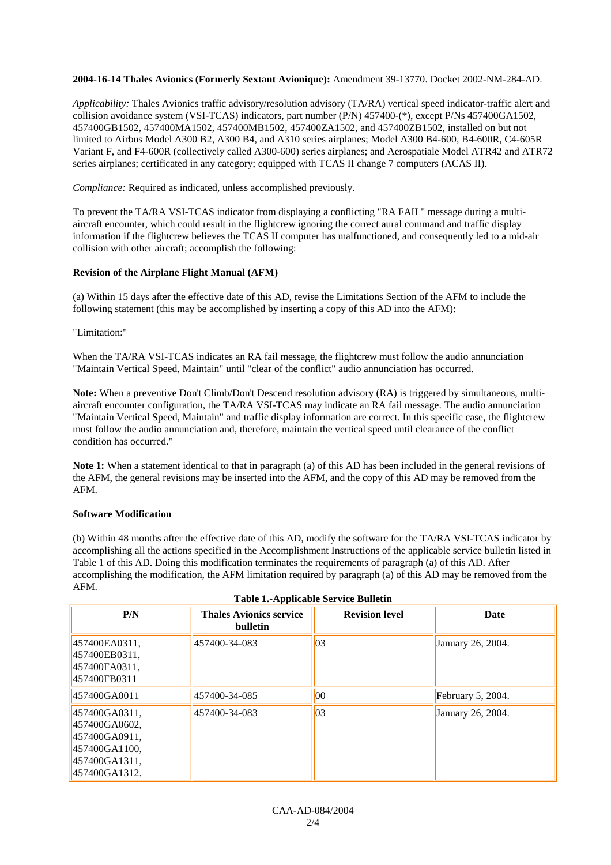#### **2004-16-14 Thales Avionics (Formerly Sextant Avionique):** Amendment 39-13770. Docket 2002-NM-284-AD.

*Applicability:* Thales Avionics traffic advisory/resolution advisory (TA/RA) vertical speed indicator-traffic alert and collision avoidance system (VSI-TCAS) indicators, part number (P/N) 457400-(\*), except P/Ns 457400GA1502, 457400GB1502, 457400MA1502, 457400MB1502, 457400ZA1502, and 457400ZB1502, installed on but not limited to Airbus Model A300 B2, A300 B4, and A310 series airplanes; Model A300 B4-600, B4-600R, C4-605R Variant F, and F4-600R (collectively called A300-600) series airplanes; and Aerospatiale Model ATR42 and ATR72 series airplanes; certificated in any category; equipped with TCAS II change 7 computers (ACAS II).

*Compliance:* Required as indicated, unless accomplished previously.

To prevent the TA/RA VSI-TCAS indicator from displaying a conflicting "RA FAIL" message during a multiaircraft encounter, which could result in the flightcrew ignoring the correct aural command and traffic display information if the flightcrew believes the TCAS II computer has malfunctioned, and consequently led to a mid-air collision with other aircraft; accomplish the following:

#### **Revision of the Airplane Flight Manual (AFM)**

(a) Within 15 days after the effective date of this AD, revise the Limitations Section of the AFM to include the following statement (this may be accomplished by inserting a copy of this AD into the AFM):

"Limitation:"

When the TA/RA VSI-TCAS indicates an RA fail message, the flightcrew must follow the audio annunciation "Maintain Vertical Speed, Maintain" until "clear of the conflict" audio annunciation has occurred.

**Note:** When a preventive Don't Climb/Don't Descend resolution advisory (RA) is triggered by simultaneous, multiaircraft encounter configuration, the TA/RA VSI-TCAS may indicate an RA fail message. The audio annunciation "Maintain Vertical Speed, Maintain" and traffic display information are correct. In this specific case, the flightcrew must follow the audio annunciation and, therefore, maintain the vertical speed until clearance of the conflict condition has occurred."

**Note 1:** When a statement identical to that in paragraph (a) of this AD has been included in the general revisions of the AFM, the general revisions may be inserted into the AFM, and the copy of this AD may be removed from the AFM.

#### **Software Modification**

(b) Within 48 months after the effective date of this AD, modify the software for the TA/RA VSI-TCAS indicator by accomplishing all the actions specified in the Accomplishment Instructions of the applicable service bulletin listed in Table 1 of this AD. Doing this modification terminates the requirements of paragraph (a) of this AD. After accomplishing the modification, the AFM limitation required by paragraph (a) of this AD may be removed from the AFM.

| P/N                                                                                                | <b>Thales Avionics service</b><br><b>bulletin</b> | <b>Revision level</b> | Date                 |
|----------------------------------------------------------------------------------------------------|---------------------------------------------------|-----------------------|----------------------|
| 457400EA0311,<br>457400EB0311,<br>457400FA0311.<br>457400FB0311                                    | 457400-34-083                                     | 03                    | January 26, 2004.    |
| 457400GA0011                                                                                       | 457400-34-085                                     | 00                    | February $5, 2004$ . |
| 457400GA0311,<br>457400GA0602,<br>457400GA0911,<br>457400GA1100,<br>457400GA1311,<br>457400GA1312. | 457400-34-083                                     | 03                    | January 26, 2004.    |

| <b>Table 1.-Applicable Service Bulletin</b> |
|---------------------------------------------|
|---------------------------------------------|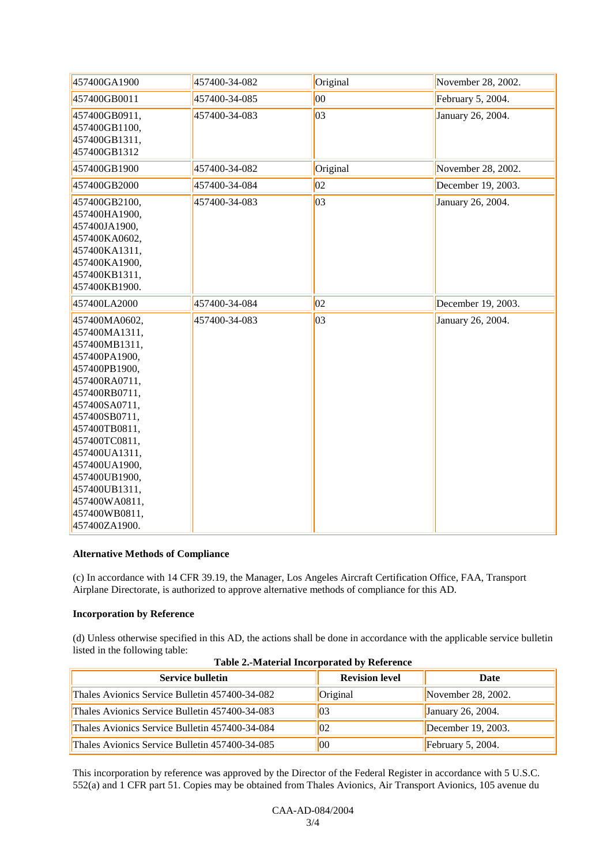| 457400GA1900                                                                                                                                                                                                                                                                                                   | 457400-34-082 | Original     | November 28, 2002. |
|----------------------------------------------------------------------------------------------------------------------------------------------------------------------------------------------------------------------------------------------------------------------------------------------------------------|---------------|--------------|--------------------|
| 457400GB0011                                                                                                                                                                                                                                                                                                   | 457400-34-085 | 00           | February 5, 2004.  |
| 457400GB0911,<br>457400GB1100,<br>457400GB1311,<br>457400GB1312                                                                                                                                                                                                                                                | 457400-34-083 | $ 03\rangle$ | January 26, 2004.  |
| 457400GB1900                                                                                                                                                                                                                                                                                                   | 457400-34-082 | Original     | November 28, 2002. |
| 457400GB2000                                                                                                                                                                                                                                                                                                   | 457400-34-084 | 02           | December 19, 2003. |
| 457400GB2100,<br>457400HA1900,<br>457400JA1900,<br>457400KA0602,<br>457400KA1311,<br>457400KA1900,<br>457400KB1311,<br>457400KB1900.                                                                                                                                                                           | 457400-34-083 | $ 03\rangle$ | January 26, 2004.  |
| 457400LA2000                                                                                                                                                                                                                                                                                                   | 457400-34-084 | 02           | December 19, 2003. |
| 457400MA0602,<br>457400MA1311,<br>457400MB1311,<br>457400PA1900,<br>457400PB1900,<br>457400RA0711,<br>457400RB0711,<br>457400SA0711,<br>457400SB0711,<br>457400TB0811,<br>457400TC0811,<br>457400UA1311,<br>457400UA1900,<br>457400UB1900,<br>457400UB1311,<br>457400WA0811,<br>457400WB0811,<br>457400ZA1900. | 457400-34-083 | 03           | January 26, 2004.  |

#### **Alternative Methods of Compliance**

(c) In accordance with 14 CFR 39.19, the Manager, Los Angeles Aircraft Certification Office, FAA, Transport Airplane Directorate, is authorized to approve alternative methods of compliance for this AD.

#### **Incorporation by Reference**

(d) Unless otherwise specified in this AD, the actions shall be done in accordance with the applicable service bulletin listed in the following table:

| Table 2. Material meorporated by Reference     |                       |                       |
|------------------------------------------------|-----------------------|-----------------------|
| <b>Service bulletin</b>                        | <b>Revision level</b> | Date                  |
| Thales Avionics Service Bulletin 457400-34-082 | Original              | November $28, 2002$ . |
| Thales Avionics Service Bulletin 457400-34-083 | 03                    | January 26, 2004.     |
| Thales Avionics Service Bulletin 457400-34-084 | $ 02\rangle$          | December $19, 2003$ . |
| Thales Avionics Service Bulletin 457400-34-085 | $ 00\rangle$          | February 5, 2004.     |

| <b>Table 2.-Material Incorporated by Reference</b> |
|----------------------------------------------------|
|----------------------------------------------------|

This incorporation by reference was approved by the Director of the Federal Register in accordance with 5 U.S.C. 552(a) and 1 CFR part 51. Copies may be obtained from Thales Avionics, Air Transport Avionics, 105 avenue du